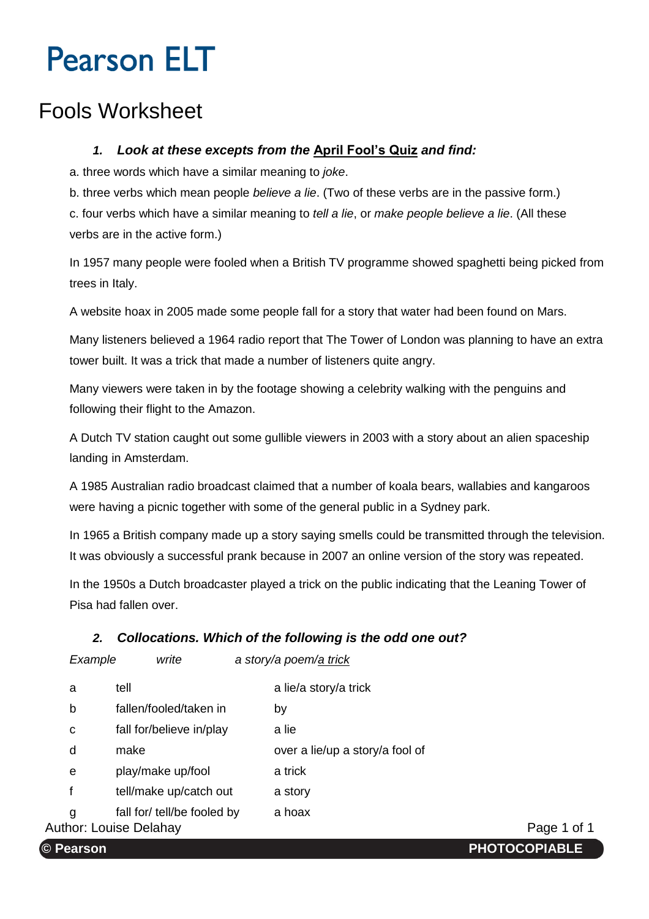# **Pearson ELT**

## Fools Worksheet

#### *1. Look at these excepts from the* **April Fool's Quiz** *and find:*

a. three words which have a similar meaning to *joke*.

b. three verbs which mean people *believe a lie*. (Two of these verbs are in the passive form.)

c. four verbs which have a similar meaning to *tell a lie*, or *make people believe a lie*. (All these verbs are in the active form.)

In 1957 many people were fooled when a British TV programme showed spaghetti being picked from trees in Italy.

A website hoax in 2005 made some people fall for a story that water had been found on Mars.

Many listeners believed a 1964 radio report that The Tower of London was planning to have an extra tower built. It was a trick that made a number of listeners quite angry.

Many viewers were taken in by the footage showing a celebrity walking with the penguins and following their flight to the Amazon.

A Dutch TV station caught out some gullible viewers in 2003 with a story about an alien spaceship landing in Amsterdam.

A 1985 Australian radio broadcast claimed that a number of koala bears, wallabies and kangaroos were having a picnic together with some of the general public in a Sydney park.

In 1965 a British company made up a story saying smells could be transmitted through the television. It was obviously a successful prank because in 2007 an online version of the story was repeated.

In the 1950s a Dutch broadcaster played a trick on the public indicating that the Leaning Tower of Pisa had fallen over.

### *2. Collocations. Which of the following is the odd one out?*

*Example write a story/a poem/a trick*

| a | tell                          | a lie/a story/a trick           |             |
|---|-------------------------------|---------------------------------|-------------|
| b | fallen/fooled/taken in        | by                              |             |
| С | fall for/believe in/play      | a lie                           |             |
| d | make                          | over a lie/up a story/a fool of |             |
| e | play/make up/fool             | a trick                         |             |
|   | tell/make up/catch out        | a story                         |             |
| g | fall for/ tell/be fooled by   | a hoax                          |             |
|   | <b>Author: Louise Delahay</b> |                                 | Page 1 of 1 |

r: Katie Jones. **© Pearson PHOTOCOPIABLE**